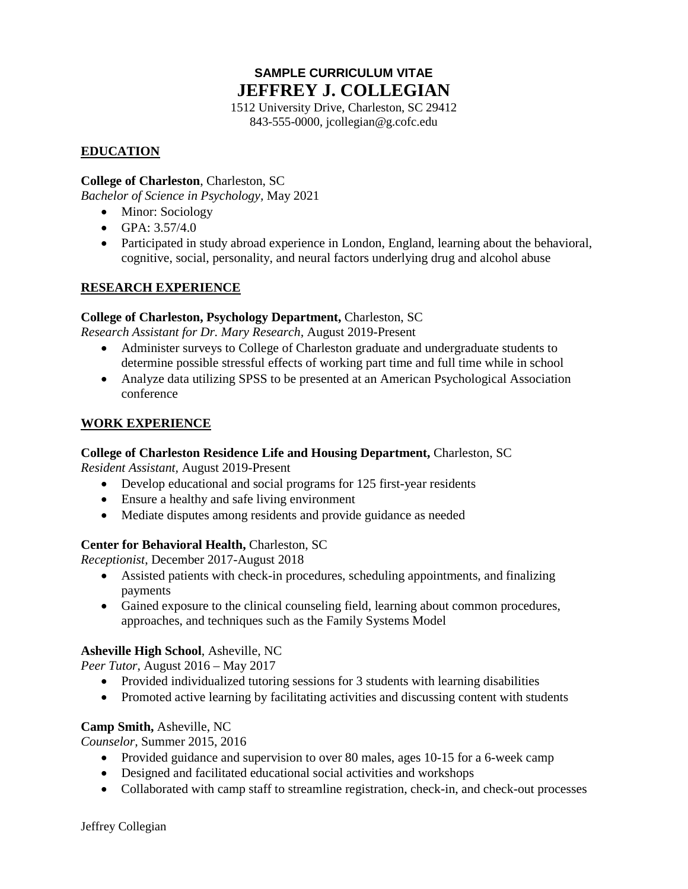# **SAMPLE CURRICULUM VITAE JEFFREY J. COLLEGIAN**

1512 University Drive, Charleston, SC 29412 843-555-0000, jcollegian@g.cofc.edu

# **EDUCATION**

## **College of Charleston**, Charleston, SC

*Bachelor of Science in Psychology,* May 2021

- Minor: Sociology
- GPA: 3.57/4.0
- Participated in study abroad experience in London, England, learning about the behavioral, cognitive, social, personality, and neural factors underlying drug and alcohol abuse

# **RESEARCH EXPERIENCE**

#### **College of Charleston, Psychology Department,** Charleston, SC

*Research Assistant for Dr. Mary Research,* August 2019-Present

- Administer surveys to College of Charleston graduate and undergraduate students to determine possible stressful effects of working part time and full time while in school
- Analyze data utilizing SPSS to be presented at an American Psychological Association conference

#### **WORK EXPERIENCE**

## **College of Charleston Residence Life and Housing Department,** Charleston, SC

*Resident Assistant,* August 2019-Present

- Develop educational and social programs for 125 first-year residents
- Ensure a healthy and safe living environment
- Mediate disputes among residents and provide guidance as needed

## **Center for Behavioral Health,** Charleston, SC

*Receptionist*, December 2017-August 2018

- Assisted patients with check-in procedures, scheduling appointments, and finalizing payments
- Gained exposure to the clinical counseling field, learning about common procedures, approaches, and techniques such as the Family Systems Model

## **Asheville High School**, Asheville, NC

*Peer Tutor*, August 2016 – May 2017

- Provided individualized tutoring sessions for 3 students with learning disabilities
- Promoted active learning by facilitating activities and discussing content with students

## **Camp Smith,** Asheville, NC

*Counselor,* Summer 2015, 2016

- Provided guidance and supervision to over 80 males, ages 10-15 for a 6-week camp
- Designed and facilitated educational social activities and workshops
- Collaborated with camp staff to streamline registration, check-in, and check-out processes